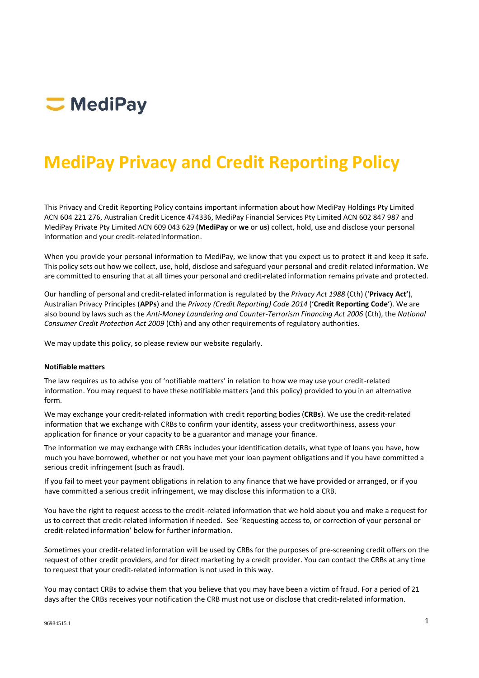

# **MediPay Privacy and Credit Reporting Policy**

This Privacy and Credit Reporting Policy contains important information about how MediPay Holdings Pty Limited ACN 604 221 276, Australian Credit Licence 474336, MediPay Financial Services Pty Limited ACN 602 847 987 and MediPay Private Pty Limited ACN 609 043 629 (**MediPay** or **we** or **us**) collect, hold, use and disclose your personal information and your credit-relatedinformation.

When you provide your personal information to MediPay, we know that you expect us to protect it and keep it safe. This policy sets out how we collect, use, hold, disclose and safeguard your personal and credit-related information. We are committed to ensuring that at all times your personal and credit-related information remains private and protected.

Our handling of personal and credit-related information is regulated by the *Privacy Act 1988* (Cth) ('**Privacy Act'**), Australian Privacy Principles (**APPs**) and the *Privacy (Credit Reporting) Code 2014* ('**Credit Reporting Code**'). We are also bound by laws such as the *Anti-Money Laundering and Counter-Terrorism Financing Act 2006* (Cth), the *National Consumer Credit Protection Act 2009* (Cth) and any other requirements of regulatory authorities.

We may update this policy, so please review our website regularly.

## **Notifiable matters**

The law requires us to advise you of 'notifiable matters' in relation to how we may use your credit-related information. You may request to have these notifiable matters (and this policy) provided to you in an alternative form.

We may exchange your credit-related information with credit reporting bodies (**CRBs**). We use the credit-related information that we exchange with CRBs to confirm your identity, assess your creditworthiness, assess your application for finance or your capacity to be a guarantor and manage your finance.

The information we may exchange with CRBs includes your identification details, what type of loans you have, how much you have borrowed, whether or not you have met your loan payment obligations and if you have committed a serious credit infringement (such as fraud).

If you fail to meet your payment obligations in relation to any finance that we have provided or arranged, or if you have committed a serious credit infringement, we may disclose this information to a CRB.

You have the right to request access to the credit-related information that we hold about you and make a request for us to correct that credit-related information if needed. See 'Requesting access to, or correction of your personal or credit-related information' below for further information.

Sometimes your credit-related information will be used by CRBs for the purposes of pre-screening credit offers on the request of other credit providers, and for direct marketing by a credit provider. You can contact the CRBs at any time to request that your credit-related information is not used in this way.

You may contact CRBs to advise them that you believe that you may have been a victim of fraud. For a period of 21 days after the CRBs receives your notification the CRB must not use or disclose that credit-related information.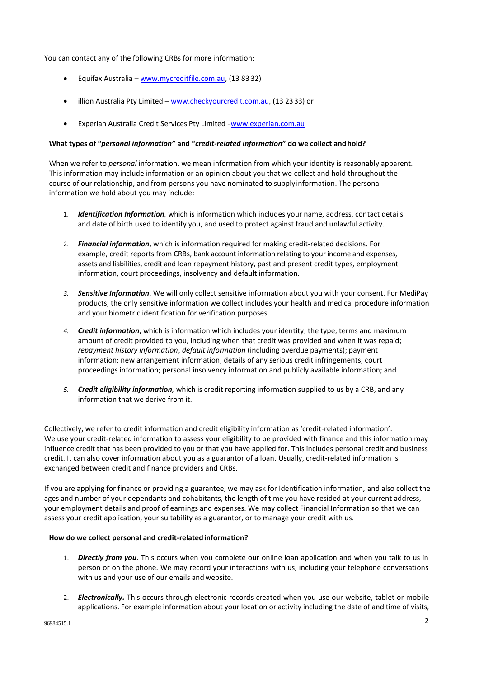You can contact any of the following CRBs for more information:

- Equifax Australia [www.mycreditfile.com.au,](http://www.mycreditfile.com.au/) (13 83 32)
- illion Australia Pty Limited [www.checkyourcredit.com.au,](http://www.checkyourcredit.com.au/) (13 2333) or
- Experian Australia Credit Services Pty Limited [-www.experian.com.au](http://www.experian.com.au/)

## **What types of "***personal information"* **and "***credit-related information***" do we collect andhold?**

When we refer to *personal* information, we mean information from which your identity is reasonably apparent. This information may include information or an opinion about you that we collect and hold throughout the course of our relationship, and from persons you have nominated to supplyinformation. The personal information we hold about you may include:

- 1. *Identification Information,* which is information which includes your name, address, contact details and date of birth used to identify you, and used to protect against fraud and unlawful activity.
- 2. *Financial information*, which is information required for making credit-related decisions. For example, credit reports from CRBs, bank account information relating to your income and expenses, assets and liabilities, credit and loan repayment history, past and present credit types, employment information, court proceedings, insolvency and default information.
- *3. Sensitive Information*. We will only collect sensitive information about you with your consent. For MediPay products, the only sensitive information we collect includes your health and medical procedure information and your biometric identification for verification purposes.
- *4. Credit information*, which is information which includes your identity; the type, terms and maximum amount of credit provided to you, including when that credit was provided and when it was repaid; *repayment history information*, *default information* (including overdue payments); payment information; new arrangement information; details of any serious credit infringements; court proceedings information; personal insolvency information and publicly available information; and
- *5. Credit eligibility information,* which is credit reporting information supplied to us by a CRB, and any information that we derive from it.

Collectively, we refer to credit information and credit eligibility information as 'credit-related information'. We use your credit-related information to assess your eligibility to be provided with finance and this information may influence credit that has been provided to you or that you have applied for. This includes personal credit and business credit. It can also cover information about you as a guarantor of a loan. Usually, credit-related information is exchanged between credit and finance providers and CRBs.

If you are applying for finance or providing a guarantee, we may ask for Identification information, and also collect the ages and number of your dependants and cohabitants, the length of time you have resided at your current address, your employment details and proof of earnings and expenses. We may collect Financial Information so that we can assess your credit application, your suitability as a guarantor, or to manage your credit with us.

# **How do we collect personal and credit-related information?**

- 1. *Directly from you*. This occurs when you complete our online loan application and when you talk to us in person or on the phone. We may record your interactions with us, including your telephone conversations with us and your use of our emails and website.
- 2. *Electronically.* This occurs through electronic records created when you use our website, tablet or mobile applications. For example information about your location or activity including the date of and time of visits,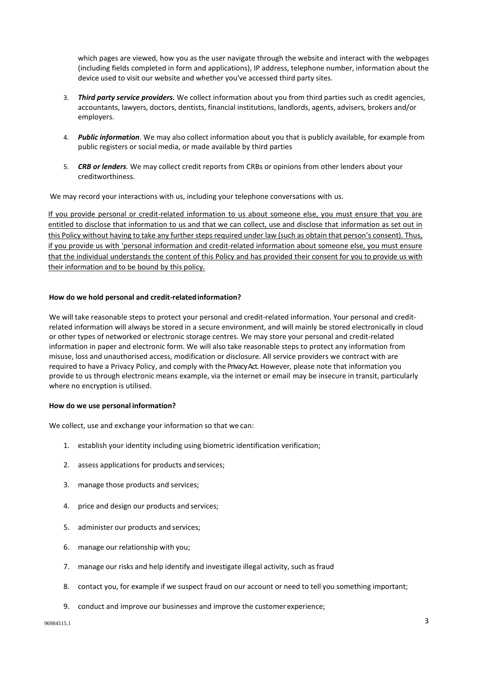which pages are viewed, how you as the user navigate through the website and interact with the webpages (including fields completed in form and applications), IP address, telephone number, information about the device used to visit our website and whether you've accessed third party sites.

- 3. *Third party service providers.* We collect information about you from third parties such as credit agencies, accountants, lawyers, doctors, dentists, financial institutions, landlords, agents, advisers, brokers and/or employers.
- 4. *Public information*. We may also collect information about you that is publicly available, for example from public registers or social media, or made available by third parties
- 5. *CRB or lenders.* We may collect credit reports from CRBs or opinions from other lenders about your creditworthiness.

We may record your interactions with us, including your telephone conversations with us.

If you provide personal or credit-related information to us about someone else, you must ensure that you are entitled to disclose that information to us and that we can collect, use and disclose that information as set out in this Policy without having to take any further steps required under law (such as obtain that person's consent). Thus, if you provide us with 'personal information and credit-related information about someone else, you must ensure that the individual understands the content of this Policy and has provided their consent for you to provide us with their information and to be bound by this policy.

# **How do we hold personal and credit-relatedinformation?**

We will take reasonable steps to protect your personal and credit-related information. Your personal and creditrelated information will always be stored in a secure environment, and will mainly be stored electronically in cloud or other types of networked or electronic storage centres. We may store your personal and credit-related information in paper and electronic form. We will also take reasonable steps to protect any information from misuse, loss and unauthorised access, modification or disclosure. All service providers we contract with are required to have a Privacy Policy, and comply with the Privacy Act. However, please note that information you provide to us through electronic means example, via the internet or email may be insecure in transit, particularly where no encryption is utilised.

# **How do we use personal information?**

We collect, use and exchange your information so that we can:

- 1. establish your identity including using biometric identification verification;
- 2. assess applications for products andservices;
- 3. manage those products and services;
- 4. price and design our products and services;
- 5. administer our products and services;
- 6. manage our relationship with you;
- 7. manage our risks and help identify and investigate illegal activity, such as fraud
- 8. contact you, for example if we suspect fraud on our account or need to tell you something important;
- 9. conduct and improve our businesses and improve the customer experience;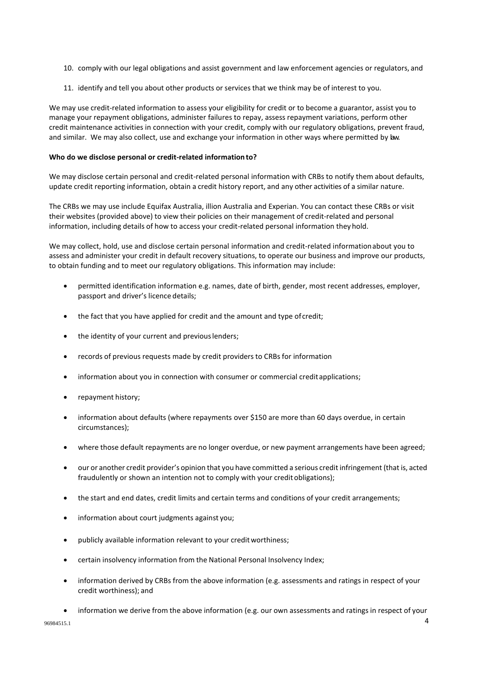- 10. comply with our legal obligations and assist government and law enforcement agencies or regulators, and
- 11. identify and tell you about other products or services that we think may be of interest to you.

We may use credit-related information to assess your eligibility for credit or to become a guarantor, assist you to manage your repayment obligations, administer failures to repay, assess repayment variations, perform other credit maintenance activities in connection with your credit, comply with our regulatory obligations, prevent fraud, and similar. We may also collect, use and exchange your information in other ways where permitted by law.

# **Who do we disclose personal or credit-related information to?**

We may disclose certain personal and credit-related personal information with CRBs to notify them about defaults, update credit reporting information, obtain a credit history report, and any other activities of a similar nature.

The CRBs we may use include Equifax Australia, illion Australia and Experian. You can contact these CRBs or visit their websites (provided above) to view their policies on their management of credit-related and personal information, including details of how to access your credit-related personal information they hold.

We may collect, hold, use and disclose certain personal information and credit-related informationabout you to assess and administer your credit in default recovery situations, to operate our business and improve our products, to obtain funding and to meet our regulatory obligations. This information may include:

- permitted identification information e.g. names, date of birth, gender, most recent addresses, employer, passport and driver's licence details;
- the fact that you have applied for credit and the amount and type of credit;
- the identity of your current and previous lenders;
- records of previous requests made by credit providers to CRBs for information
- information about you in connection with consumer or commercial credit applications;
- repayment history;
- information about defaults (where repayments over \$150 are more than 60 days overdue, in certain circumstances);
- where those default repayments are no longer overdue, or new payment arrangements have been agreed;
- our or another credit provider's opinion that you have committed a serious credit infringement (that is, acted fraudulently or shown an intention not to comply with your credit obligations);
- the start and end dates, credit limits and certain terms and conditions of your credit arrangements;
- information about court judgments against you;
- publicly available information relevant to your credit worthiness;
- certain insolvency information from the National Personal Insolvency Index;
- information derived by CRBs from the above information (e.g. assessments and ratings in respect of your credit worthiness); and
- 96984515.1 4 • information we derive from the above information (e.g. our own assessments and ratings in respect of your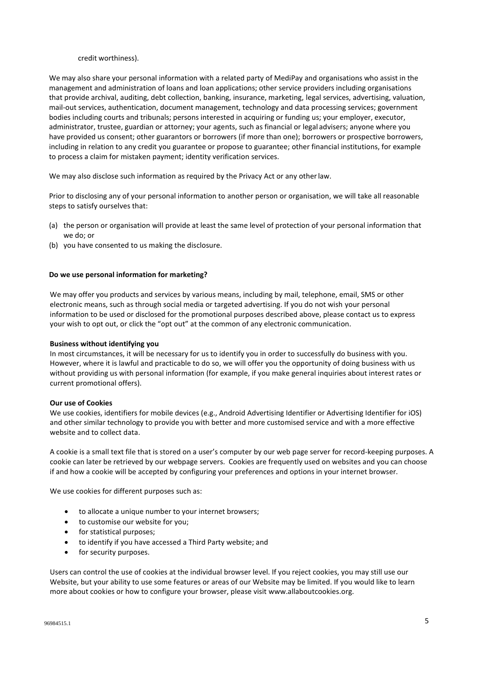#### credit worthiness).

We may also share your personal information with a related party of MediPay and organisations who assist in the management and administration of loans and loan applications; other service providers including organisations that provide archival, auditing, debt collection, banking, insurance, marketing, legal services, advertising, valuation, mail-out services, authentication, document management, technology and data processing services; government bodies including courts and tribunals; persons interested in acquiring or funding us; your employer, executor, administrator, trustee, guardian or attorney; your agents, such as financial or legal advisers; anyone where you have provided us consent; other guarantors or borrowers (if more than one); borrowers or prospective borrowers, including in relation to any credit you guarantee or propose to guarantee; other financial institutions, for example to process a claim for mistaken payment; identity verification services.

We may also disclose such information as required by the Privacy Act or any other law.

Prior to disclosing any of your personal information to another person or organisation, we will take all reasonable steps to satisfy ourselves that:

- (a) the person or organisation will provide at least the same level of protection of your personal information that we do; or
- (b) you have consented to us making the disclosure.

#### **Do we use personal information for marketing?**

We may offer you products and services by various means, including by mail, telephone, email, SMS or other electronic means, such as through social media or targeted advertising. If you do not wish your personal information to be used or disclosed for the promotional purposes described above, please contact us to express your wish to opt out, or click the "opt out" at the common of any electronic communication.

#### **Business without identifying you**

In most circumstances, it will be necessary for us to identify you in order to successfully do business with you. However, where it is lawful and practicable to do so, we will offer you the opportunity of doing business with us without providing us with personal information (for example, if you make general inquiries about interest rates or current promotional offers).

#### **Our use of Cookies**

We use cookies, identifiers for mobile devices (e.g., Android Advertising Identifier or Advertising Identifier for iOS) and other similar technology to provide you with better and more customised service and with a more effective website and to collect data.

A cookie is a small text file that is stored on a user's computer by our web page server for record-keeping purposes. A cookie can later be retrieved by our webpage servers. Cookies are frequently used on websites and you can choose if and how a cookie will be accepted by configuring your preferences and options in your internet browser.

We use cookies for different purposes such as:

- to allocate a unique number to your internet browsers;
- to customise our website for you;
- for statistical purposes;
- to identify if you have accessed a Third Party website; and
- for security purposes.

Users can control the use of cookies at the individual browser level. If you reject cookies, you may still use our Website, but your ability to use some features or areas of our Website may be limited. If you would like to learn more about cookies or how to configure your browser, please visit [www.allaboutcookies.org.](http://www.allaboutcookies.org/)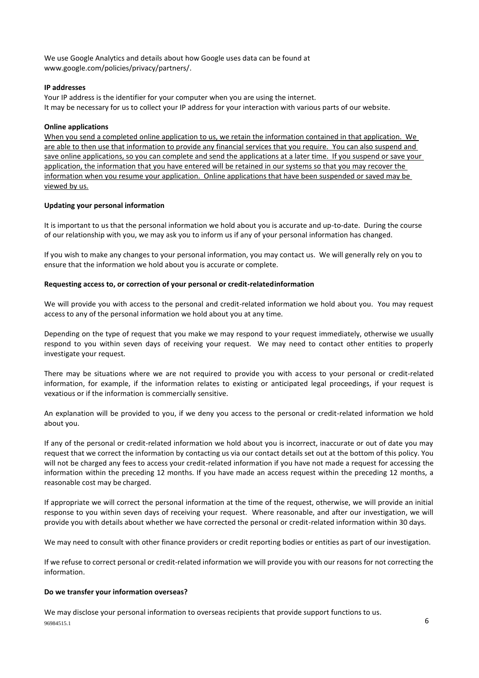We use Google Analytics and details about how Google uses data can be found at [www.google.com/policies/privacy/partners/.](https://www.google.com/policies/privacy/partners/)

## **IP addresses**

Your IP address is the identifier for your computer when you are using the internet. It may be necessary for us to collect your IP address for your interaction with various parts of our website.

## **Online applications**

When you send a completed online application to us, we retain the information contained in that application. We are able to then use that information to provide any financial services that you require. You can also suspend and save online applications, so you can complete and send the applications at a later time. If you suspend or save your application, the information that you have entered will be retained in our systems so that you may recover the information when you resume your application. Online applications that have been suspended or saved may be viewed by us.

# **Updating your personal information**

It is important to us that the personal information we hold about you is accurate and up-to-date. During the course of our relationship with you, we may ask you to inform us if any of your personal information has changed.

If you wish to make any changes to your personal information, you may contact us. We will generally rely on you to ensure that the information we hold about you is accurate or complete.

## **Requesting access to, or correction of your personal or credit-relatedinformation**

We will provide you with access to the personal and credit-related information we hold about you. You may request access to any of the personal information we hold about you at any time.

Depending on the type of request that you make we may respond to your request immediately, otherwise we usually respond to you within seven days of receiving your request. We may need to contact other entities to properly investigate your request.

There may be situations where we are not required to provide you with access to your personal or credit-related information, for example, if the information relates to existing or anticipated legal proceedings, if your request is vexatious or if the information is commercially sensitive.

An explanation will be provided to you, if we deny you access to the personal or credit-related information we hold about you.

If any of the personal or credit-related information we hold about you is incorrect, inaccurate or out of date you may request that we correct the information by contacting us via our contact details set out at the bottom of this policy. You will not be charged any fees to access your credit-related information if you have not made a request for accessing the information within the preceding 12 months. If you have made an access request within the preceding 12 months, a reasonable cost may be charged.

If appropriate we will correct the personal information at the time of the request, otherwise, we will provide an initial response to you within seven days of receiving your request. Where reasonable, and after our investigation, we will provide you with details about whether we have corrected the personal or credit-related information within 30 days.

We may need to consult with other finance providers or credit reporting bodies or entities as part of our investigation.

If we refuse to correct personal or credit-related information we will provide you with our reasons for not correcting the information.

# **Do we transfer your information overseas?**

 $96984515.1$  6 We may disclose your personal information to overseas recipients that provide support functions to us.